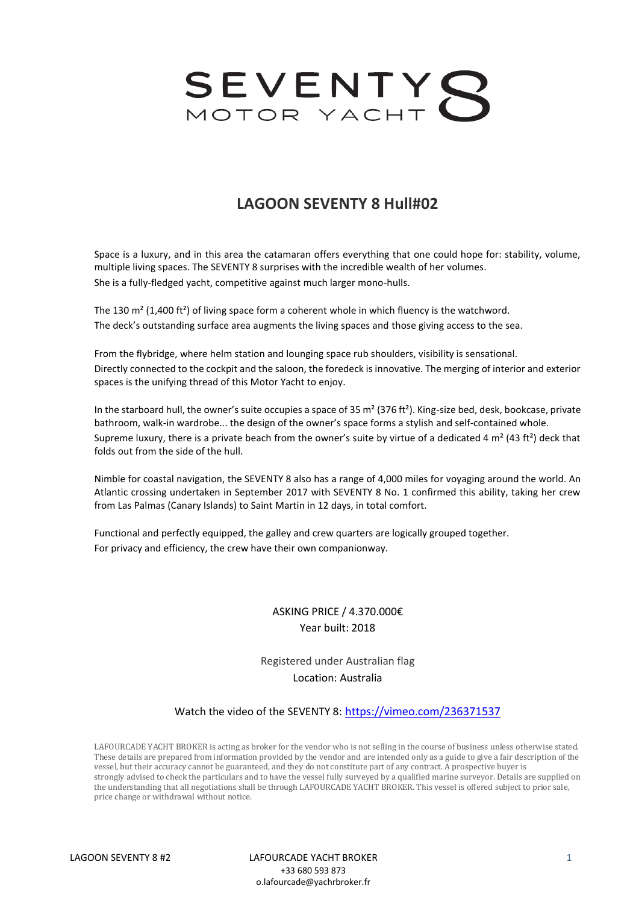

# **LAGOON SEVENTY 8 Hull#02**

Space is a luxury, and in this area the catamaran offers everything that one could hope for: stability, volume, multiple living spaces. The SEVENTY 8 surprises with the incredible wealth of her volumes. She is a fully-fledged yacht, competitive against much larger mono-hulls.

The 130  $m<sup>2</sup>$  (1,400 ft<sup>2</sup>) of living space form a coherent whole in which fluency is the watchword. The deck's outstanding surface area augments the living spaces and those giving access to the sea.

From the flybridge, where helm station and lounging space rub shoulders, visibility is sensational. Directly connected to the cockpit and the saloon, the foredeck is innovative. The merging of interior and exterior spaces is the unifying thread of this Motor Yacht to enjoy.

In the starboard hull, the owner's suite occupies a space of 35  $m^2$  (376 ft<sup>2</sup>). King-size bed, desk, bookcase, private bathroom, walk-in wardrobe... the design of the owner's space forms a stylish and self-contained whole. Supreme luxury, there is a private beach from the owner's suite by virtue of a dedicated 4  $m^2$  (43 ft<sup>2</sup>) deck that folds out from the side of the hull.

Nimble for coastal navigation, the SEVENTY 8 also has a range of 4,000 miles for voyaging around the world. An Atlantic crossing undertaken in September 2017 with SEVENTY 8 No. 1 confirmed this ability, taking her crew from Las Palmas (Canary Islands) to Saint Martin in 12 days, in total comfort.

Functional and perfectly equipped, the galley and crew quarters are logically grouped together. For privacy and efficiency, the crew have their own companionway.

# ASKING PRICE / 4.370.000€ Year built: 2018

Registered under Australian flag Location: Australia

#### Watch the video of the SEVENTY 8: <https://vimeo.com/236371537>

LAFOURCADE YACHT BROKER is acting as broker for the vendor who is not selling in the course of business unless otherwise stated. These details are prepared from information provided by the vendor and are intended only as a guide to give a fair description of the vessel, but their accuracy cannot be guaranteed, and they do not constitute part of any contract. A prospective buyer is strongly advised to check the particulars and to have the vessel fully surveyed by a qualified marine surveyor. Details are supplied on the understanding that all negotiations shall be through LAFOURCADE YACHT BROKER. This vessel is offered subject to prior sale, price change or withdrawal without notice.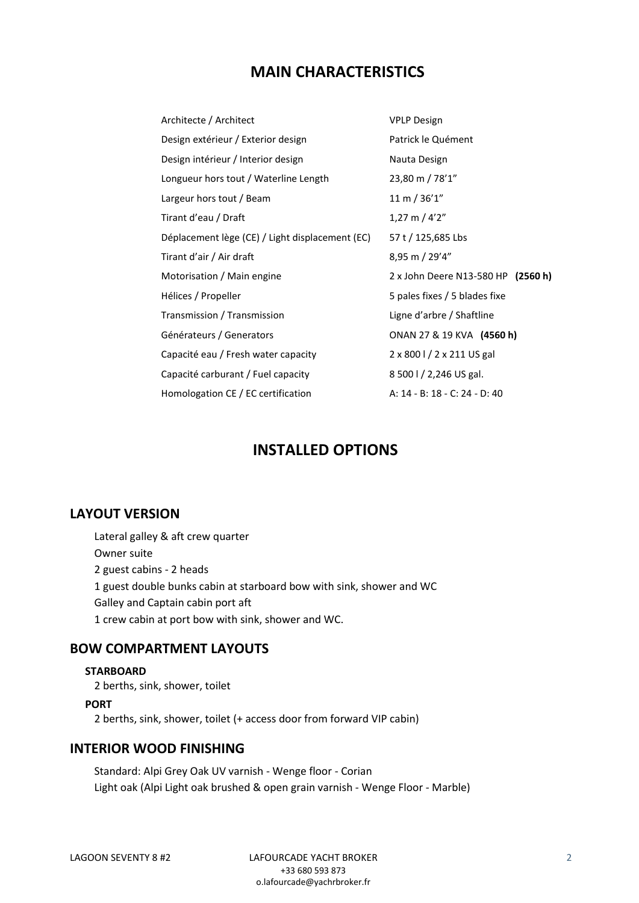# **MAIN CHARACTERISTICS**

| Architecte / Architect                          | <b>VPLP Design</b>                 |
|-------------------------------------------------|------------------------------------|
| Design extérieur / Exterior design              | Patrick le Quément                 |
| Design intérieur / Interior design              | Nauta Design                       |
| Longueur hors tout / Waterline Length           | 23,80 m / 78'1"                    |
| Largeur hors tout / Beam                        | 11 m / 36'1''                      |
| Tirant d'eau / Draft                            | $1,27 \text{ m}$ / 4'2"            |
| Déplacement lège (CE) / Light displacement (EC) | 57 t / 125,685 Lbs                 |
| Tirant d'air / Air draft                        | 8,95 m / 29'4"                     |
| Motorisation / Main engine                      | 2 x John Deere N13-580 HP (2560 h) |
| Hélices / Propeller                             | 5 pales fixes / 5 blades fixe      |
| Transmission / Transmission                     | Ligne d'arbre / Shaftline          |
| Générateurs / Generators                        | ONAN 27 & 19 KVA (4560 h)          |
| Capacité eau / Fresh water capacity             | 2 x 800 l / 2 x 211 US gal         |
| Capacité carburant / Fuel capacity              | 8 500 l / 2,246 US gal.            |
| Homologation CE / EC certification              | A: 14 - B: 18 - C: 24 - D: 40      |

# **INSTALLED OPTIONS**

# **LAYOUT VERSION**

Lateral galley & aft crew quarter Owner suite 2 guest cabins - 2 heads 1 guest double bunks cabin at starboard bow with sink, shower and WC Galley and Captain cabin port aft 1 crew cabin at port bow with sink, shower and WC.

## **BOW COMPARTMENT LAYOUTS**

#### **STARBOARD**

2 berths, sink, shower, toilet

#### **PORT**

2 berths, sink, shower, toilet (+ access door from forward VIP cabin)

## **INTERIOR WOOD FINISHING**

Standard: Alpi Grey Oak UV varnish - Wenge floor - Corian Light oak (Alpi Light oak brushed & open grain varnish - Wenge Floor - Marble)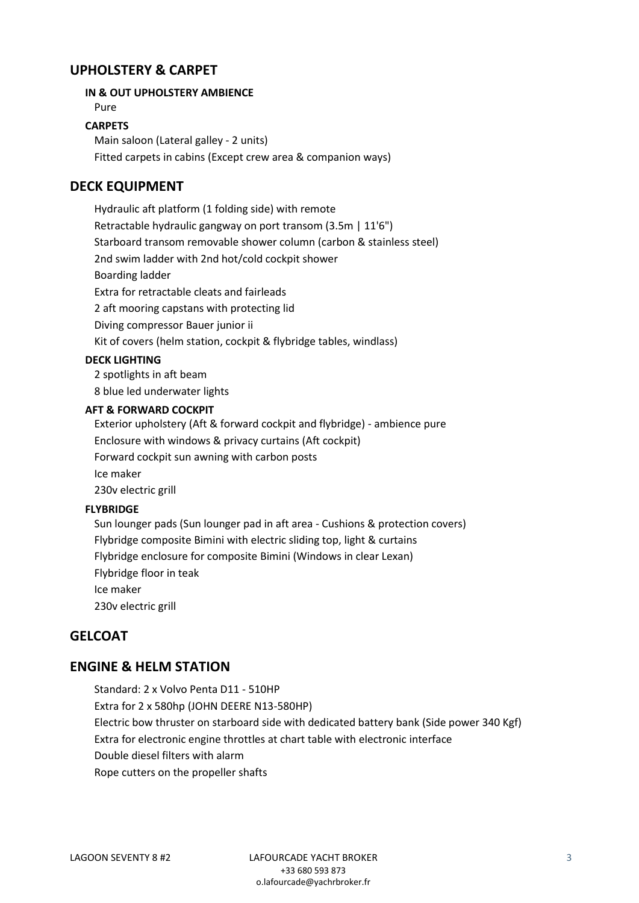# **UPHOLSTERY & CARPET**

### **IN & OUT UPHOLSTERY AMBIENCE**

Pure

#### **CARPETS**

Main saloon (Lateral galley - 2 units) Fitted carpets in cabins (Except crew area & companion ways)

# **DECK EQUIPMENT**

Hydraulic aft platform (1 folding side) with remote Retractable hydraulic gangway on port transom (3.5m | 11'6") Starboard transom removable shower column (carbon & stainless steel) 2nd swim ladder with 2nd hot/cold cockpit shower Boarding ladder Extra for retractable cleats and fairleads 2 aft mooring capstans with protecting lid Diving compressor Bauer junior ii Kit of covers (helm station, cockpit & flybridge tables, windlass)

### **DECK LIGHTING**

2 spotlights in aft beam 8 blue led underwater lights

#### **AFT & FORWARD COCKPIT**

Exterior upholstery (Aft & forward cockpit and flybridge) - ambience pure Enclosure with windows & privacy curtains (Aft cockpit) Forward cockpit sun awning with carbon posts Ice maker 230v electric grill

## **FLYBRIDGE**

Sun lounger pads (Sun lounger pad in aft area - Cushions & protection covers) Flybridge composite Bimini with electric sliding top, light & curtains Flybridge enclosure for composite Bimini (Windows in clear Lexan) Flybridge floor in teak Ice maker 230v electric grill

## **GELCOAT**

# **ENGINE & HELM STATION**

Standard: 2 x Volvo Penta D11 - 510HP Extra for 2 x 580hp (JOHN DEERE N13-580HP) Electric bow thruster on starboard side with dedicated battery bank (Side power 340 Kgf) Extra for electronic engine throttles at chart table with electronic interface Double diesel filters with alarm Rope cutters on the propeller shafts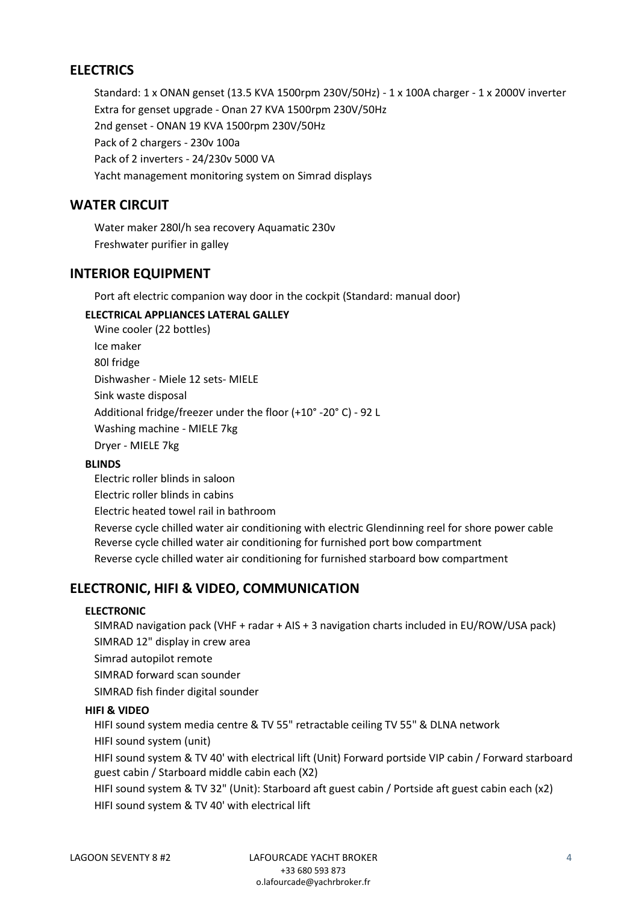# **ELECTRICS**

Standard: 1 x ONAN genset (13.5 KVA 1500rpm 230V/50Hz) - 1 x 100A charger - 1 x 2000V inverter Extra for genset upgrade - Onan 27 KVA 1500rpm 230V/50Hz 2nd genset - ONAN 19 KVA 1500rpm 230V/50Hz Pack of 2 chargers - 230v 100a Pack of 2 inverters - 24/230v 5000 VA Yacht management monitoring system on Simrad displays

# **WATER CIRCUIT**

Water maker 280l/h sea recovery Aquamatic 230v Freshwater purifier in galley

# **INTERIOR EQUIPMENT**

Port aft electric companion way door in the cockpit (Standard: manual door)

## **ELECTRICAL APPLIANCES LATERAL GALLEY**

Wine cooler (22 bottles) Ice maker 80l fridge Dishwasher - Miele 12 sets- MIELE Sink waste disposal Additional fridge/freezer under the floor (+10° -20° C) - 92 L Washing machine - MIELE 7kg Dryer - MIELE 7kg

## **BLINDS**

Electric roller blinds in saloon Electric roller blinds in cabins Electric heated towel rail in bathroom Reverse cycle chilled water air conditioning with electric Glendinning reel for shore power cable Reverse cycle chilled water air conditioning for furnished port bow compartment Reverse cycle chilled water air conditioning for furnished starboard bow compartment

# **ELECTRONIC, HIFI & VIDEO, COMMUNICATION**

## **ELECTRONIC**

SIMRAD navigation pack (VHF + radar + AIS + 3 navigation charts included in EU/ROW/USA pack) SIMRAD 12" display in crew area

Simrad autopilot remote

SIMRAD forward scan sounder

SIMRAD fish finder digital sounder

## **HIFI & VIDEO**

HIFI sound system media centre & TV 55" retractable ceiling TV 55" & DLNA network

HIFI sound system (unit)

HIFI sound system & TV 40' with electrical lift (Unit) Forward portside VIP cabin / Forward starboard guest cabin / Starboard middle cabin each (X2)

HIFI sound system & TV 32" (Unit): Starboard aft guest cabin / Portside aft guest cabin each (x2) HIFI sound system & TV 40' with electrical lift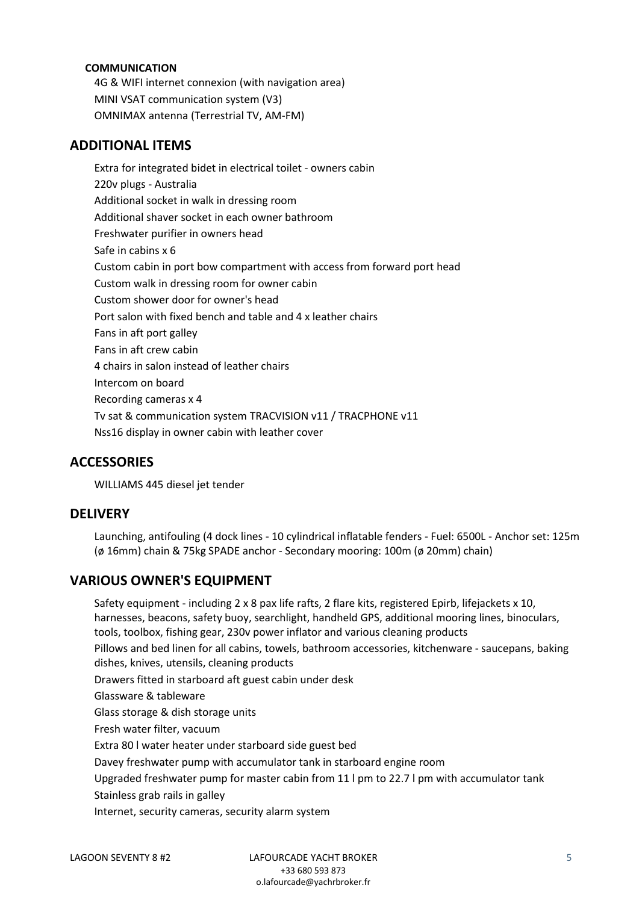### **COMMUNICATION**

4G & WIFI internet connexion (with navigation area) MINI VSAT communication system (V3) OMNIMAX antenna (Terrestrial TV, AM-FM)

## **ADDITIONAL ITEMS**

Extra for integrated bidet in electrical toilet - owners cabin 220v plugs - Australia Additional socket in walk in dressing room Additional shaver socket in each owner bathroom Freshwater purifier in owners head Safe in cabins x 6 Custom cabin in port bow compartment with access from forward port head Custom walk in dressing room for owner cabin Custom shower door for owner's head Port salon with fixed bench and table and 4 x leather chairs Fans in aft port galley Fans in aft crew cabin 4 chairs in salon instead of leather chairs Intercom on board Recording cameras x 4 Tv sat & communication system TRACVISION v11 / TRACPHONE v11 Nss16 display in owner cabin with leather cover

## **ACCESSORIES**

WILLIAMS 445 diesel jet tender

## **DELIVERY**

Launching, antifouling (4 dock lines - 10 cylindrical inflatable fenders - Fuel: 6500L - Anchor set: 125m (ø 16mm) chain & 75kg SPADE anchor - Secondary mooring: 100m (ø 20mm) chain)

## **VARIOUS OWNER'S EQUIPMENT**

Safety equipment - including 2 x 8 pax life rafts, 2 flare kits, registered Epirb, lifejackets x 10, harnesses, beacons, safety buoy, searchlight, handheld GPS, additional mooring lines, binoculars, tools, toolbox, fishing gear, 230v power inflator and various cleaning products Pillows and bed linen for all cabins, towels, bathroom accessories, kitchenware - saucepans, baking dishes, knives, utensils, cleaning products Drawers fitted in starboard aft guest cabin under desk Glassware & tableware Glass storage & dish storage units Fresh water filter, vacuum Extra 80 l water heater under starboard side guest bed Davey freshwater pump with accumulator tank in starboard engine room Upgraded freshwater pump for master cabin from 11 l pm to 22.7 l pm with accumulator tank Stainless grab rails in galley Internet, security cameras, security alarm system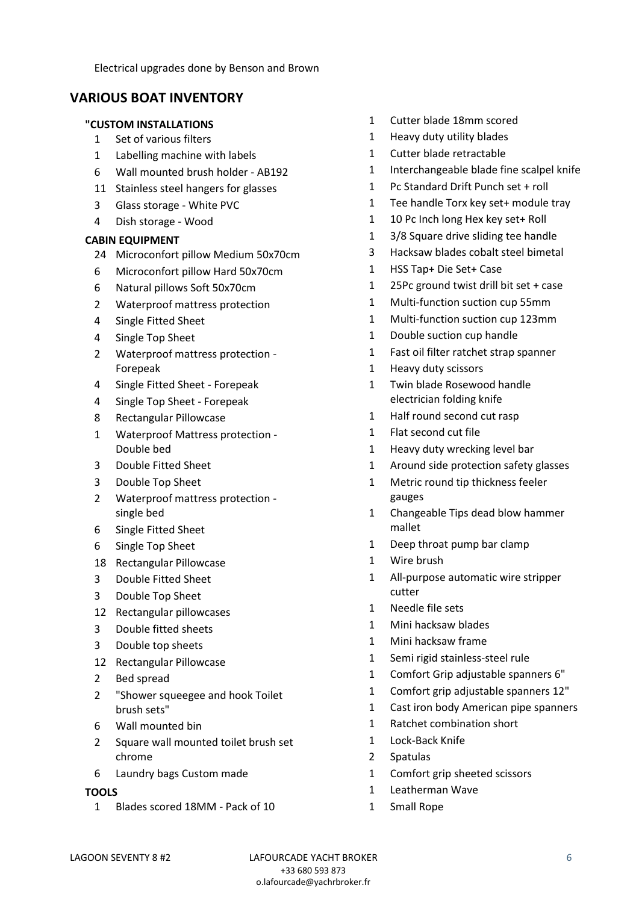Electrical upgrades done by Benson and Brown

# **VARIOUS BOAT INVENTORY**

### **"CUSTOM INSTALLATIONS**

- Set of various filters
- Labelling machine with labels
- Wall mounted brush holder AB192
- Stainless steel hangers for glasses
- Glass storage White PVC
- Dish storage Wood

## **CABIN EQUIPMENT**

- Microconfort pillow Medium 50x70cm
- Microconfort pillow Hard 50x70cm
- Natural pillows Soft 50x70cm
- Waterproof mattress protection
- Single Fitted Sheet
- Single Top Sheet
- Waterproof mattress protection Forepeak
- Single Fitted Sheet Forepeak
- Single Top Sheet Forepeak
- Rectangular Pillowcase
- Waterproof Mattress protection Double bed
- Double Fitted Sheet
- Double Top Sheet
- Waterproof mattress protection single bed
- Single Fitted Sheet
- Single Top Sheet
- Rectangular Pillowcase
- Double Fitted Sheet
- Double Top Sheet
- Rectangular pillowcases
- Double fitted sheets
- Double top sheets
- Rectangular Pillowcase
- Bed spread
- "Shower squeegee and hook Toilet brush sets"
- Wall mounted bin
- Square wall mounted toilet brush set chrome
- Laundry bags Custom made

#### **TOOLS**

Blades scored 18MM - Pack of 10

- Cutter blade 18mm scored
- Heavy duty utility blades
- Cutter blade retractable
- Interchangeable blade fine scalpel knife
- Pc Standard Drift Punch set + roll
- Tee handle Torx key set+ module tray
- 10 Pc Inch long Hex key set+ Roll
- 3/8 Square drive sliding tee handle
- Hacksaw blades cobalt steel bimetal
- HSS Tap+ Die Set+ Case
- 25Pc ground twist drill bit set + case
- Multi-function suction cup 55mm
- Multi-function suction cup 123mm
- Double suction cup handle
- Fast oil filter ratchet strap spanner
- Heavy duty scissors
- Twin blade Rosewood handle electrician folding knife
- Half round second cut rasp
- Flat second cut file
- Heavy duty wrecking level bar
- Around side protection safety glasses
- Metric round tip thickness feeler gauges
- Changeable Tips dead blow hammer mallet
- Deep throat pump bar clamp
- Wire brush
- All-purpose automatic wire stripper cutter
- Needle file sets
- Mini hacksaw blades
- Mini hacksaw frame
- Semi rigid stainless-steel rule
- Comfort Grip adjustable spanners 6"
- Comfort grip adjustable spanners 12"
- Cast iron body American pipe spanners
- Ratchet combination short
- Lock-Back Knife
- Spatulas
- Comfort grip sheeted scissors
- Leatherman Wave
- Small Rope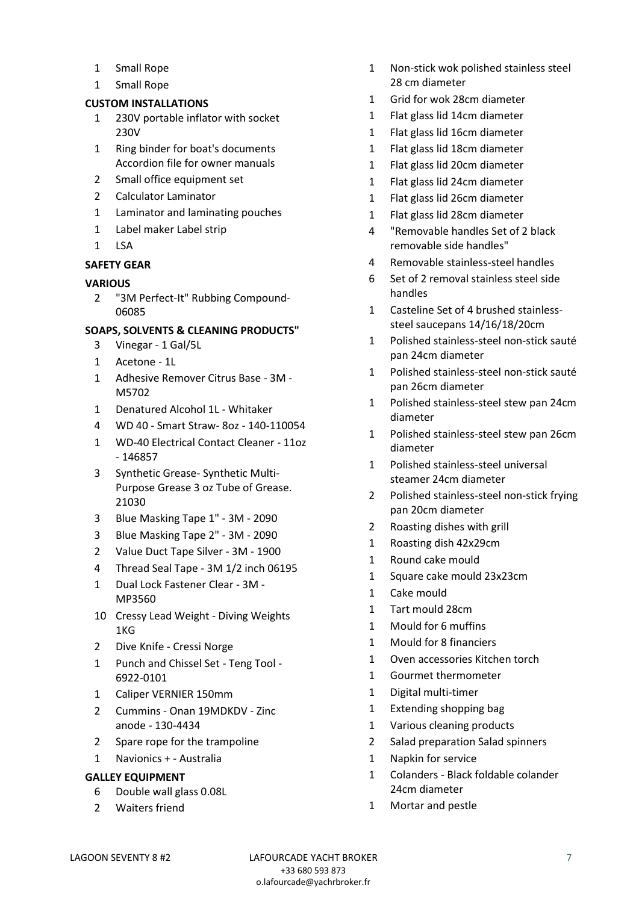- Small Rope
- Small Rope

### **CUSTOM INSTALLATIONS**

- 230V portable inflator with socket 230V
- Ring binder for boat's documents Accordion file for owner manuals
- 2 Small office equipment set
- Calculator Laminator
- Laminator and laminating pouches
- Label maker Label strip
- LSA

### **SAFETY GEAR**

### **VARIOUS**

 "3M Perfect-It" Rubbing Compound-

### **SOAPS, SOLVENTS & CLEANING PRODUCTS"**

- Vinegar 1 Gal/5L
- Acetone 1L
- Adhesive Remover Citrus Base 3M M5702
- Denatured Alcohol 1L Whitaker
- WD 40 Smart Straw- 8oz 140-110054
- WD-40 Electrical Contact Cleaner 11oz - 146857
- Synthetic Grease- Synthetic Multi-Purpose Grease 3 oz Tube of Grease.
- Blue Masking Tape 1" 3M 2090
- Blue Masking Tape 2" 3M 2090
- Value Duct Tape Silver 3M 1900
- Thread Seal Tape 3M 1/2 inch 06195
- Dual Lock Fastener Clear 3M MP3560
- Cressy Lead Weight Diving Weights 1KG
- Dive Knife Cressi Norge
- Punch and Chissel Set Teng Tool 6922-0101
- Caliper VERNIER 150mm
- Cummins Onan 19MDKDV Zinc anode - 130-4434
- Spare rope for the trampoline
- Navionics + Australia

## **GALLEY EQUIPMENT**

- Double wall glass 0.08L
- Waiters friend
- Non-stick wok polished stainless steel 28 cm diameter
- Grid for wok 28cm diameter
- Flat glass lid 14cm diameter
- Flat glass lid 16cm diameter
- Flat glass lid 18cm diameter
- Flat glass lid 20cm diameter
- Flat glass lid 24cm diameter
- Flat glass lid 26cm diameter
- Flat glass lid 28cm diameter
- "Removable handles Set of 2 black removable side handles"
- Removable stainless-steel handles
- Set of 2 removal stainless steel side handles
- Casteline Set of 4 brushed stainlesssteel saucepans 14/16/18/20cm
- Polished stainless-steel non-stick sauté pan 24cm diameter
- Polished stainless-steel non-stick sauté pan 26cm diameter
- Polished stainless-steel stew pan 24cm diameter
- Polished stainless-steel stew pan 26cm diameter
- Polished stainless-steel universal steamer 24cm diameter
- Polished stainless-steel non-stick frying pan 20cm diameter
- Roasting dishes with grill
- Roasting dish 42x29cm
- Round cake mould
- Square cake mould 23x23cm
- Cake mould
- Tart mould 28cm
- Mould for 6 muffins
- Mould for 8 financiers
- Oven accessories Kitchen torch
- Gourmet thermometer
- Digital multi-timer
- Extending shopping bag
- Various cleaning products
- Salad preparation Salad spinners
- Napkin for service
- Colanders Black foldable colander 24cm diameter
- Mortar and pestle